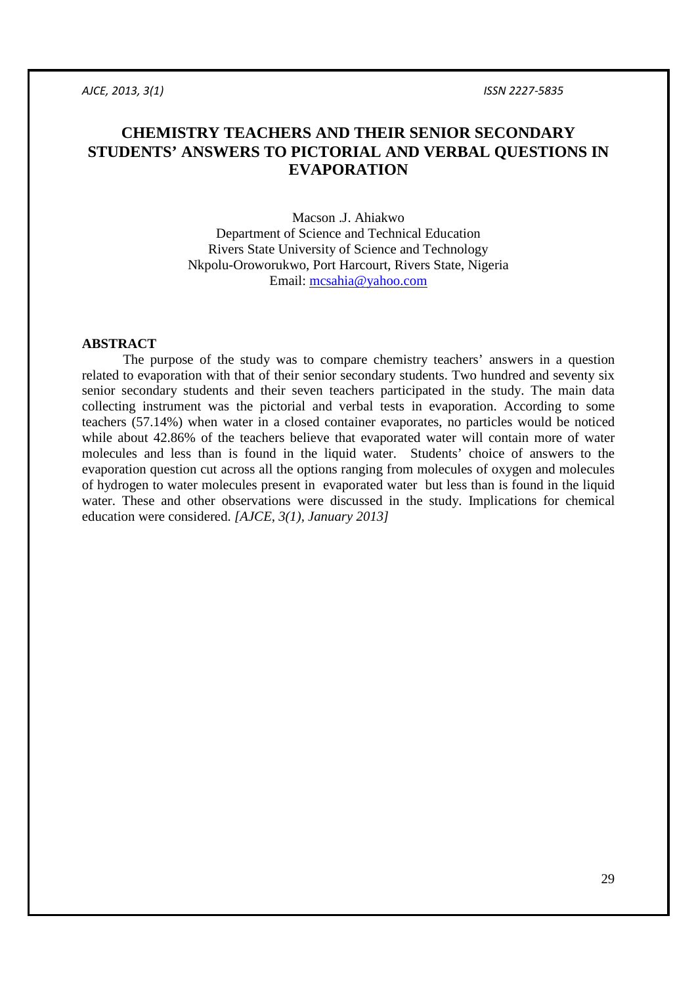# **CHEMISTRY TEACHERS AND THEIR SENIOR SECONDARY STUDENTS' ANSWERS TO PICTORIAL AND VERBAL QUESTIONS IN EVAPORATION**

Macson .J. Ahiakwo Department of Science and Technical Education Rivers State University of Science and Technology Nkpolu-Oroworukwo, Port Harcourt, Rivers State, Nigeria Email: mcsahia@yahoo.com

# **ABSTRACT**

The purpose of the study was to compare chemistry teachers' answers in a question related to evaporation with that of their senior secondary students. Two hundred and seventy six senior secondary students and their seven teachers participated in the study. The main data collecting instrument was the pictorial and verbal tests in evaporation. According to some teachers (57.14%) when water in a closed container evaporates, no particles would be noticed while about 42.86% of the teachers believe that evaporated water will contain more of water molecules and less than is found in the liquid water. Students' choice of answers to the evaporation question cut across all the options ranging from molecules of oxygen and molecules of hydrogen to water molecules present in evaporated water but less than is found in the liquid water. These and other observations were discussed in the study. Implications for chemical education were considered. *[AJCE, 3(1), January 2013]*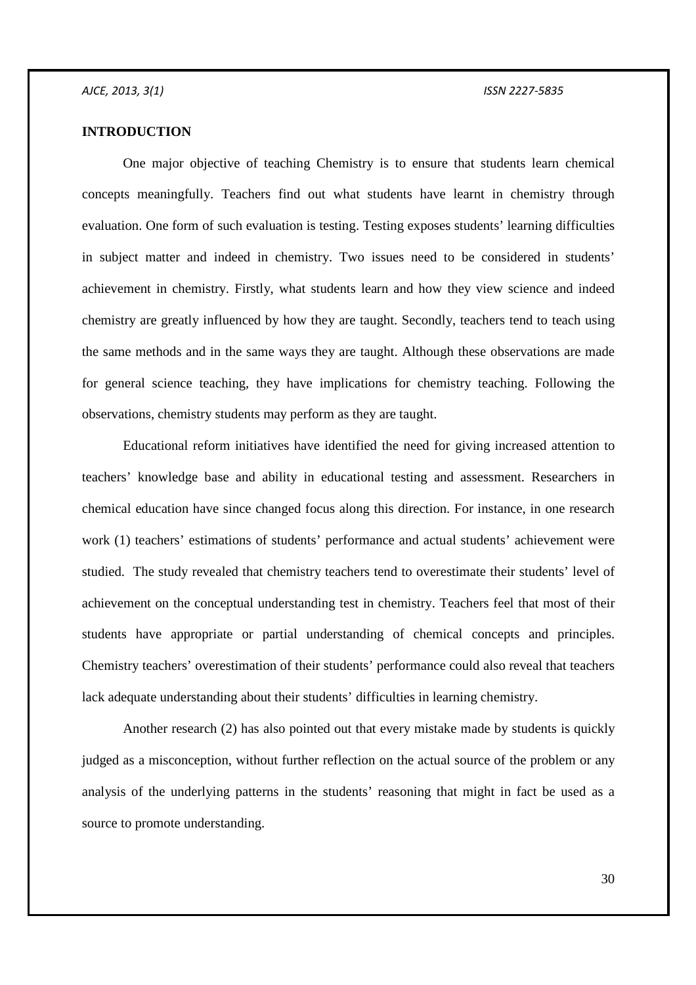# **INTRODUCTION**

One major objective of teaching Chemistry is to ensure that students learn chemical concepts meaningfully. Teachers find out what students have learnt in chemistry through evaluation. One form of such evaluation is testing. Testing exposes students' learning difficulties in subject matter and indeed in chemistry. Two issues need to be considered in students' achievement in chemistry. Firstly, what students learn and how they view science and indeed chemistry are greatly influenced by how they are taught. Secondly, teachers tend to teach using the same methods and in the same ways they are taught. Although these observations are made for general science teaching, they have implications for chemistry teaching. Following the observations, chemistry students may perform as they are taught.

Educational reform initiatives have identified the need for giving increased attention to teachers' knowledge base and ability in educational testing and assessment. Researchers in chemical education have since changed focus along this direction. For instance, in one research work (1) teachers' estimations of students' performance and actual students' achievement were studied. The study revealed that chemistry teachers tend to overestimate their students' level of achievement on the conceptual understanding test in chemistry. Teachers feel that most of their students have appropriate or partial understanding of chemical concepts and principles. Chemistry teachers' overestimation of their students' performance could also reveal that teachers lack adequate understanding about their students' difficulties in learning chemistry.

 Another research (2) has also pointed out that every mistake made by students is quickly judged as a misconception, without further reflection on the actual source of the problem or any analysis of the underlying patterns in the students' reasoning that might in fact be used as a source to promote understanding.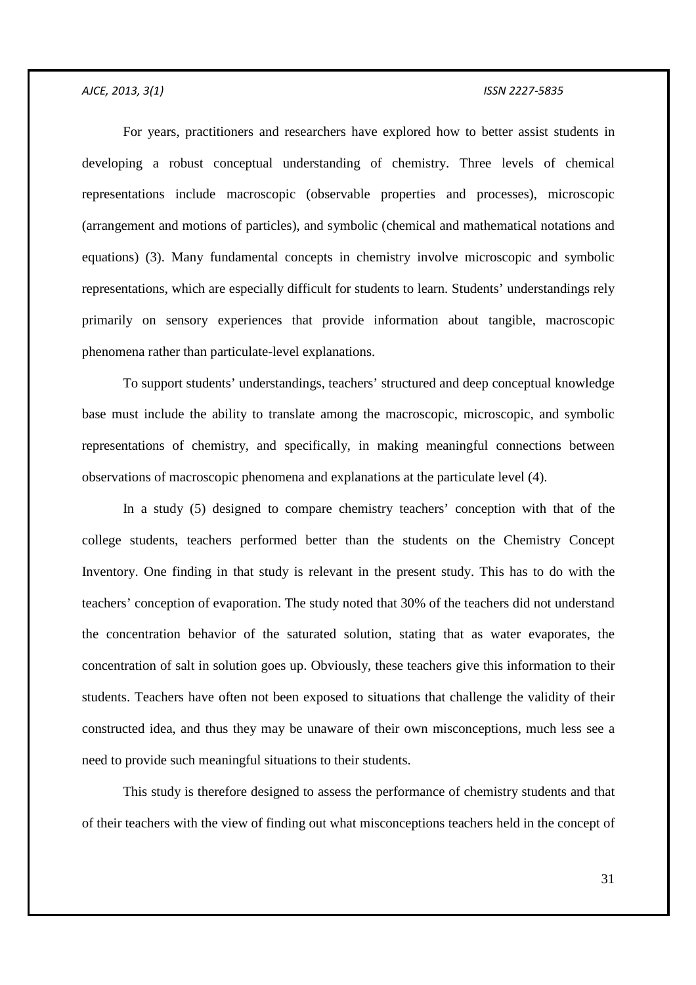For years, practitioners and researchers have explored how to better assist students in developing a robust conceptual understanding of chemistry. Three levels of chemical representations include macroscopic (observable properties and processes), microscopic (arrangement and motions of particles), and symbolic (chemical and mathematical notations and equations) (3). Many fundamental concepts in chemistry involve microscopic and symbolic representations, which are especially difficult for students to learn. Students' understandings rely primarily on sensory experiences that provide information about tangible, macroscopic phenomena rather than particulate-level explanations.

To support students' understandings, teachers' structured and deep conceptual knowledge base must include the ability to translate among the macroscopic, microscopic, and symbolic representations of chemistry, and specifically, in making meaningful connections between observations of macroscopic phenomena and explanations at the particulate level (4).

In a study (5) designed to compare chemistry teachers' conception with that of the college students, teachers performed better than the students on the Chemistry Concept Inventory. One finding in that study is relevant in the present study. This has to do with the teachers' conception of evaporation. The study noted that 30% of the teachers did not understand the concentration behavior of the saturated solution, stating that as water evaporates, the concentration of salt in solution goes up. Obviously, these teachers give this information to their students. Teachers have often not been exposed to situations that challenge the validity of their constructed idea, and thus they may be unaware of their own misconceptions, much less see a need to provide such meaningful situations to their students.

This study is therefore designed to assess the performance of chemistry students and that of their teachers with the view of finding out what misconceptions teachers held in the concept of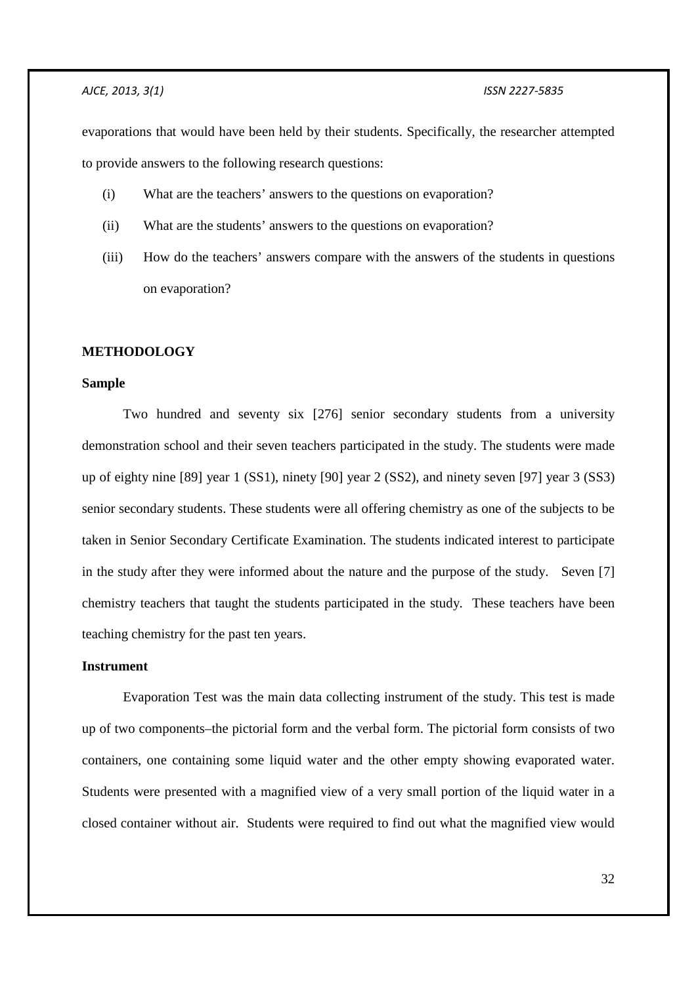evaporations that would have been held by their students. Specifically, the researcher attempted to provide answers to the following research questions:

- (i) What are the teachers' answers to the questions on evaporation?
- (ii) What are the students' answers to the questions on evaporation?
- (iii) How do the teachers' answers compare with the answers of the students in questions on evaporation?

## **METHODOLOGY**

## **Sample**

 Two hundred and seventy six [276] senior secondary students from a university demonstration school and their seven teachers participated in the study. The students were made up of eighty nine [89] year 1 (SS1), ninety [90] year 2 (SS2), and ninety seven [97] year 3 (SS3) senior secondary students. These students were all offering chemistry as one of the subjects to be taken in Senior Secondary Certificate Examination. The students indicated interest to participate in the study after they were informed about the nature and the purpose of the study. Seven [7] chemistry teachers that taught the students participated in the study. These teachers have been teaching chemistry for the past ten years.

## **Instrument**

Evaporation Test was the main data collecting instrument of the study. This test is made up of two components–the pictorial form and the verbal form. The pictorial form consists of two containers, one containing some liquid water and the other empty showing evaporated water. Students were presented with a magnified view of a very small portion of the liquid water in a closed container without air. Students were required to find out what the magnified view would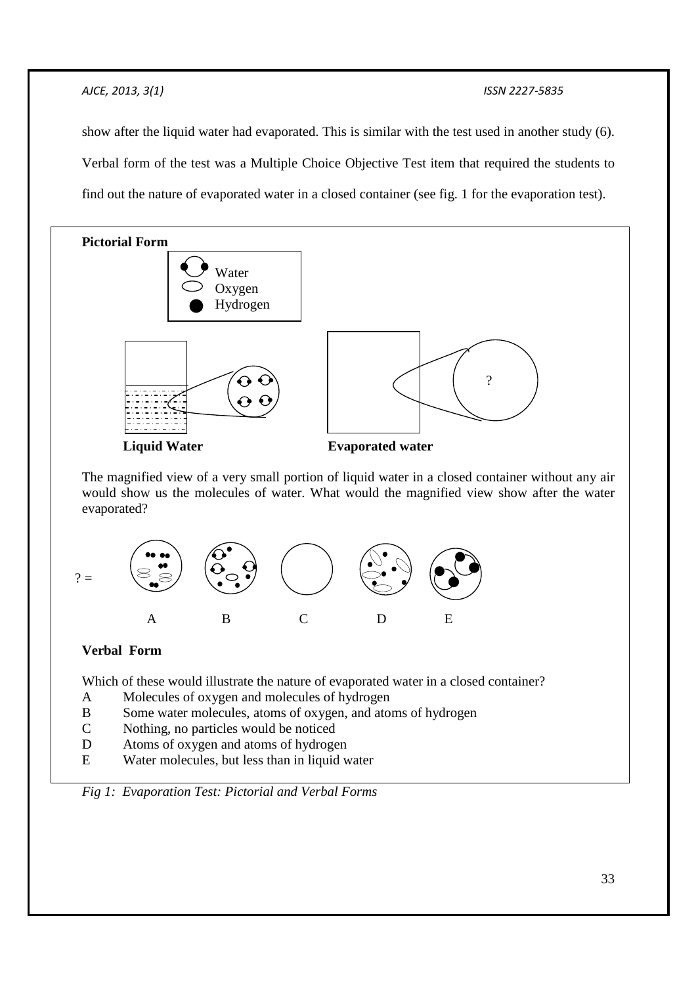show after the liquid water had evaporated. This is similar with the test used in another study (6). Verbal form of the test was a Multiple Choice Objective Test item that required the students to find out the nature of evaporated water in a closed container (see fig. 1 for the evaporation test).



# **Verbal Form**

Which of these would illustrate the nature of evaporated water in a closed container?

- A Molecules of oxygen and molecules of hydrogen
- B Some water molecules, atoms of oxygen, and atoms of hydrogen
- C Nothing, no particles would be noticed
- D Atoms of oxygen and atoms of hydrogen
- E Water molecules, but less than in liquid water

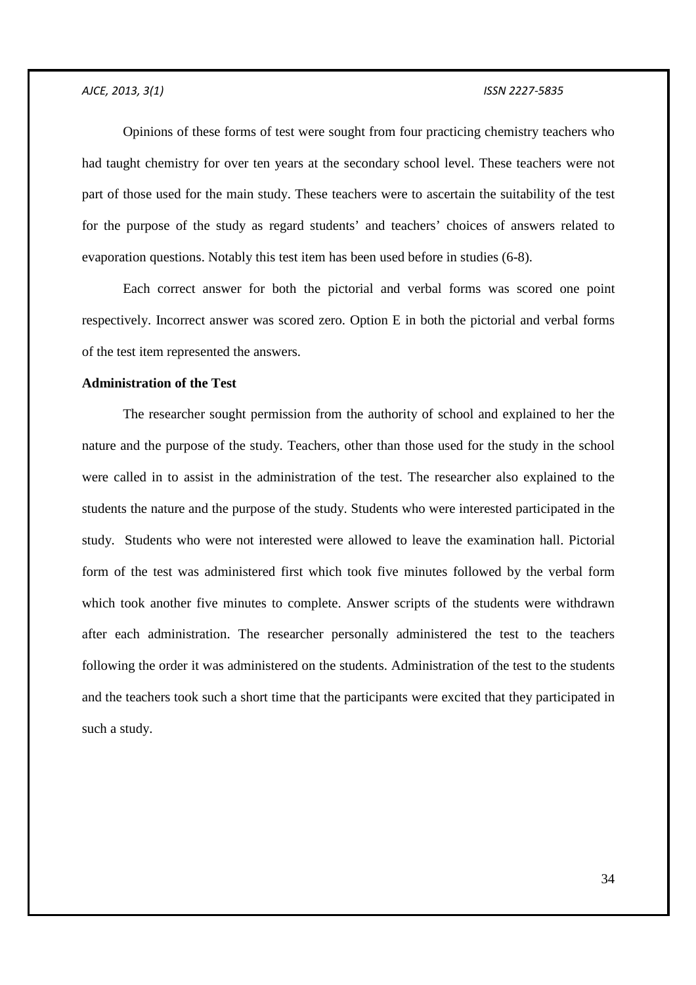Opinions of these forms of test were sought from four practicing chemistry teachers who had taught chemistry for over ten years at the secondary school level. These teachers were not part of those used for the main study. These teachers were to ascertain the suitability of the test for the purpose of the study as regard students' and teachers' choices of answers related to evaporation questions. Notably this test item has been used before in studies (6-8).

Each correct answer for both the pictorial and verbal forms was scored one point respectively. Incorrect answer was scored zero. Option E in both the pictorial and verbal forms of the test item represented the answers.

# **Administration of the Test**

The researcher sought permission from the authority of school and explained to her the nature and the purpose of the study. Teachers, other than those used for the study in the school were called in to assist in the administration of the test. The researcher also explained to the students the nature and the purpose of the study. Students who were interested participated in the study. Students who were not interested were allowed to leave the examination hall. Pictorial form of the test was administered first which took five minutes followed by the verbal form which took another five minutes to complete. Answer scripts of the students were withdrawn after each administration. The researcher personally administered the test to the teachers following the order it was administered on the students. Administration of the test to the students and the teachers took such a short time that the participants were excited that they participated in such a study.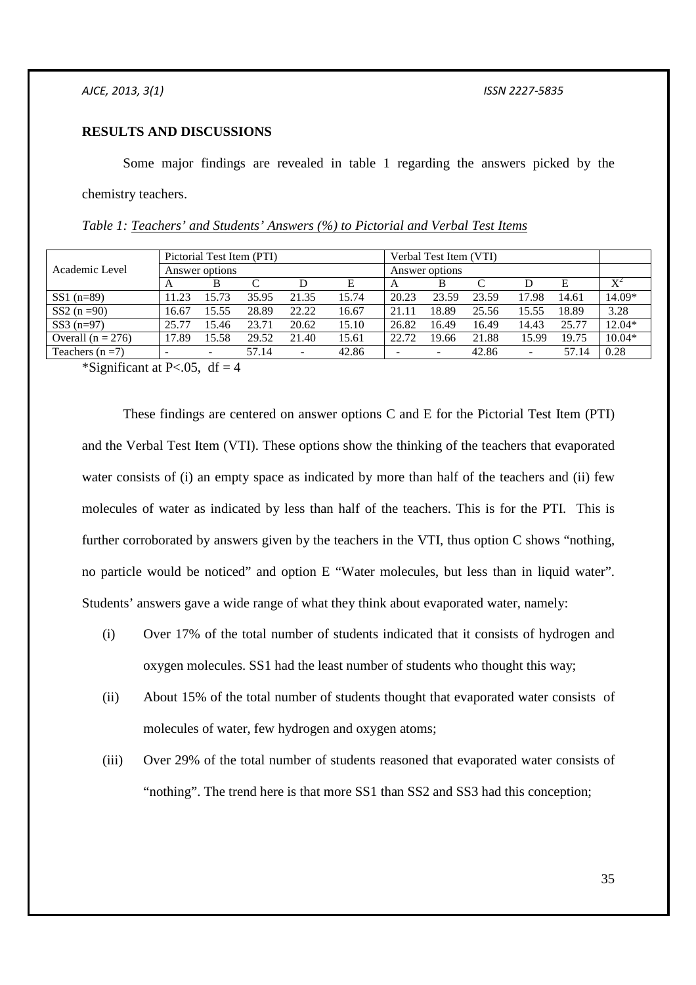# **RESULTS AND DISCUSSIONS**

Some major findings are revealed in table 1 regarding the answers picked by the chemistry teachers.

| Academic Level      | Pictorial Test Item (PTI) |                          |       |       |       | Verbal Test Item (VTI) |        |       |                          |       |                       |
|---------------------|---------------------------|--------------------------|-------|-------|-------|------------------------|--------|-------|--------------------------|-------|-----------------------|
|                     | Answer options            |                          |       |       |       | Answer options         |        |       |                          |       |                       |
|                     | A                         | В                        | C     | D     | Е     | A                      | В      |       |                          | E     | $\mathbf{V}^{\prime}$ |
| $SS1$ (n=89)        | 11.23                     | 15.73                    | 35.95 | 21.35 | 15.74 | 20.23                  | 23.59  | 23.59 | 17.98                    | 14.61 | 14.09*                |
| SS2 $(n = 90)$      | 16.67                     | 15.55                    | 28.89 | 22.22 | 16.67 | 21.11                  | 18.89  | 25.56 | 15.55                    | 18.89 | 3.28                  |
| $SS3(n=97)$         | 25.77                     | 15.46                    | 23.71 | 20.62 | 15.10 | 26.82                  | 16.49  | 16.49 | 14.43                    | 25.77 | 12.04*                |
| Overall $(n = 276)$ | 17.89                     | 15.58                    | 29.52 | 21.40 | 15.61 | 22.72                  | 19.66  | 21.88 | 15.99                    | 19.75 | $10.04*$              |
| Teachers $(n=7)$    |                           | $\overline{\phantom{a}}$ | 57.14 | ۰.    | 42.86 |                        | $\sim$ | 42.86 | $\overline{\phantom{a}}$ | 57.14 | 0.28                  |

*Table 1: Teachers' and Students' Answers (%) to Pictorial and Verbal Test Items* 

\*Significant at P $< 0.05$ , df = 4

These findings are centered on answer options C and E for the Pictorial Test Item (PTI) and the Verbal Test Item (VTI). These options show the thinking of the teachers that evaporated water consists of (i) an empty space as indicated by more than half of the teachers and (ii) few molecules of water as indicated by less than half of the teachers. This is for the PTI. This is further corroborated by answers given by the teachers in the VTI, thus option C shows "nothing, no particle would be noticed" and option E "Water molecules, but less than in liquid water". Students' answers gave a wide range of what they think about evaporated water, namely:

- (i) Over 17% of the total number of students indicated that it consists of hydrogen and oxygen molecules. SS1 had the least number of students who thought this way;
- (ii) About 15% of the total number of students thought that evaporated water consists of molecules of water, few hydrogen and oxygen atoms;
- (iii) Over 29% of the total number of students reasoned that evaporated water consists of "nothing". The trend here is that more SS1 than SS2 and SS3 had this conception;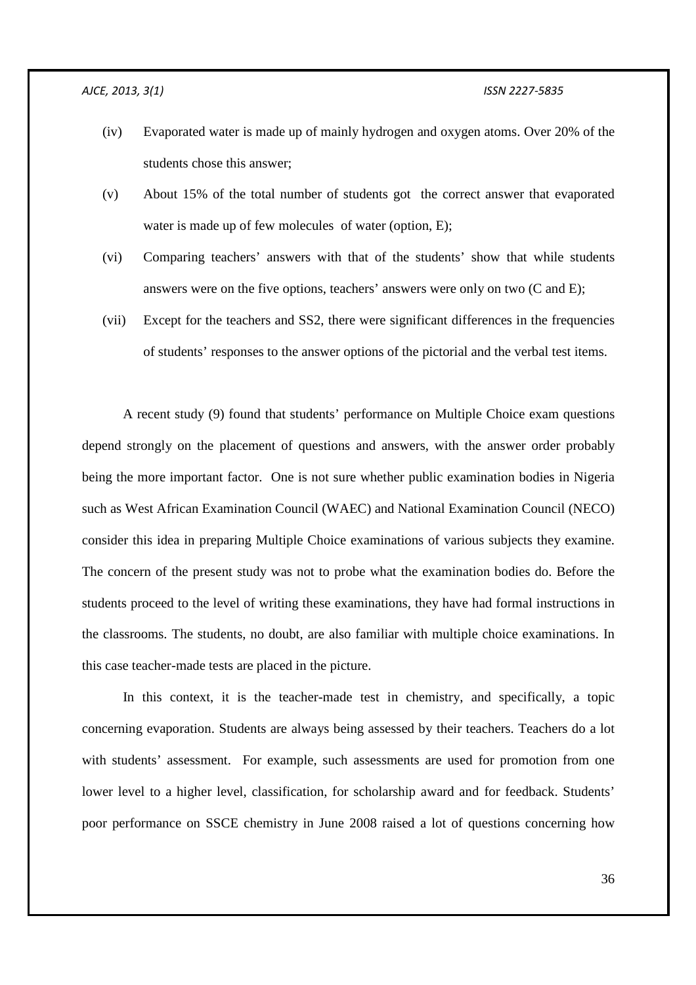- (iv) Evaporated water is made up of mainly hydrogen and oxygen atoms. Over 20% of the students chose this answer;
- (v) About 15% of the total number of students got the correct answer that evaporated water is made up of few molecules of water (option, E);
- (vi) Comparing teachers' answers with that of the students' show that while students answers were on the five options, teachers' answers were only on two (C and E);
- (vii) Except for the teachers and SS2, there were significant differences in the frequencies of students' responses to the answer options of the pictorial and the verbal test items.

A recent study (9) found that students' performance on Multiple Choice exam questions depend strongly on the placement of questions and answers, with the answer order probably being the more important factor. One is not sure whether public examination bodies in Nigeria such as West African Examination Council (WAEC) and National Examination Council (NECO) consider this idea in preparing Multiple Choice examinations of various subjects they examine. The concern of the present study was not to probe what the examination bodies do. Before the students proceed to the level of writing these examinations, they have had formal instructions in the classrooms. The students, no doubt, are also familiar with multiple choice examinations. In this case teacher-made tests are placed in the picture.

In this context, it is the teacher-made test in chemistry, and specifically, a topic concerning evaporation. Students are always being assessed by their teachers. Teachers do a lot with students' assessment. For example, such assessments are used for promotion from one lower level to a higher level, classification, for scholarship award and for feedback. Students' poor performance on SSCE chemistry in June 2008 raised a lot of questions concerning how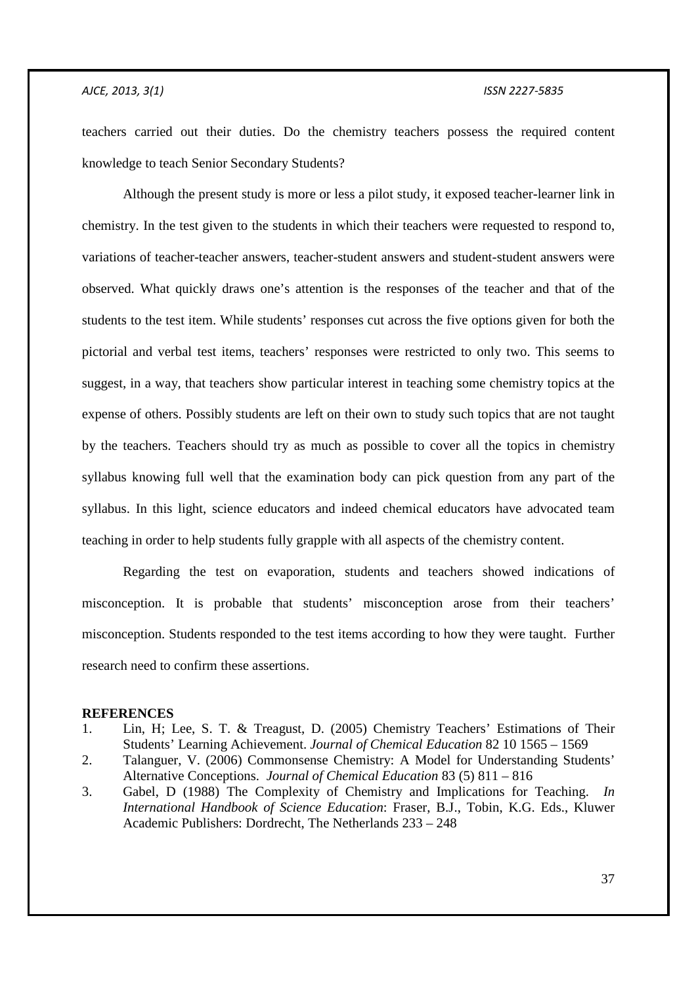teachers carried out their duties. Do the chemistry teachers possess the required content knowledge to teach Senior Secondary Students?

Although the present study is more or less a pilot study, it exposed teacher-learner link in chemistry. In the test given to the students in which their teachers were requested to respond to, variations of teacher-teacher answers, teacher-student answers and student-student answers were observed. What quickly draws one's attention is the responses of the teacher and that of the students to the test item. While students' responses cut across the five options given for both the pictorial and verbal test items, teachers' responses were restricted to only two. This seems to suggest, in a way, that teachers show particular interest in teaching some chemistry topics at the expense of others. Possibly students are left on their own to study such topics that are not taught by the teachers. Teachers should try as much as possible to cover all the topics in chemistry syllabus knowing full well that the examination body can pick question from any part of the syllabus. In this light, science educators and indeed chemical educators have advocated team teaching in order to help students fully grapple with all aspects of the chemistry content.

Regarding the test on evaporation, students and teachers showed indications of misconception. It is probable that students' misconception arose from their teachers' misconception. Students responded to the test items according to how they were taught. Further research need to confirm these assertions.

## **REFERENCES**

- 1. Lin, H; Lee, S. T. & Treagust, D. (2005) Chemistry Teachers' Estimations of Their Students' Learning Achievement. *Journal of Chemical Education* 82 10 1565 – 1569
- 2. Talanguer, V. (2006) Commonsense Chemistry: A Model for Understanding Students' Alternative Conceptions. *Journal of Chemical Education* 83 (5) 811 – 816
- 3. Gabel, D (1988) The Complexity of Chemistry and Implications for Teaching. *In International Handbook of Science Education*: Fraser, B.J., Tobin, K.G. Eds., Kluwer Academic Publishers: Dordrecht, The Netherlands 233 – 248